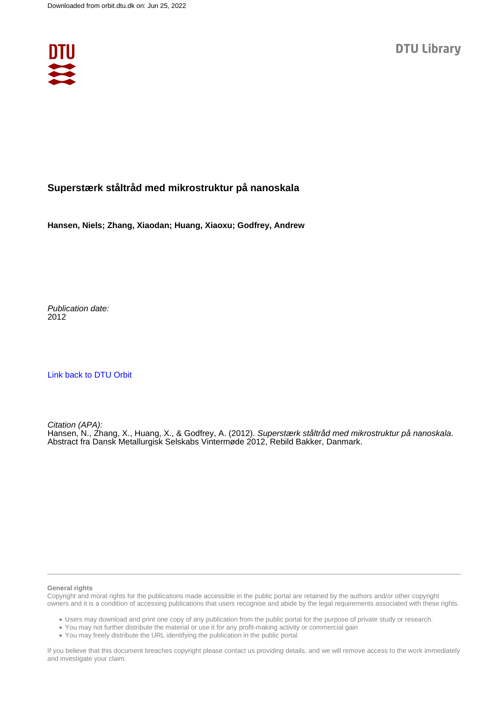

## **Superstærk ståltråd med mikrostruktur på nanoskala**

**Hansen, Niels; Zhang, Xiaodan; Huang, Xiaoxu; Godfrey, Andrew**

Publication date: 2012

[Link back to DTU Orbit](https://orbit.dtu.dk/da/publications/1c060760-b60b-4902-bf4c-16f84e495179)

Citation (APA): Hansen, N., Zhang, X., Huang, X., & Godfrey, A. (2012). Superstærk ståltråd med mikrostruktur på nanoskala. Abstract fra Dansk Metallurgisk Selskabs Vintermøde 2012, Rebild Bakker, Danmark.

#### **General rights**

Copyright and moral rights for the publications made accessible in the public portal are retained by the authors and/or other copyright owners and it is a condition of accessing publications that users recognise and abide by the legal requirements associated with these rights.

Users may download and print one copy of any publication from the public portal for the purpose of private study or research.

- You may not further distribute the material or use it for any profit-making activity or commercial gain
- You may freely distribute the URL identifying the publication in the public portal

If you believe that this document breaches copyright please contact us providing details, and we will remove access to the work immediately and investigate your claim.